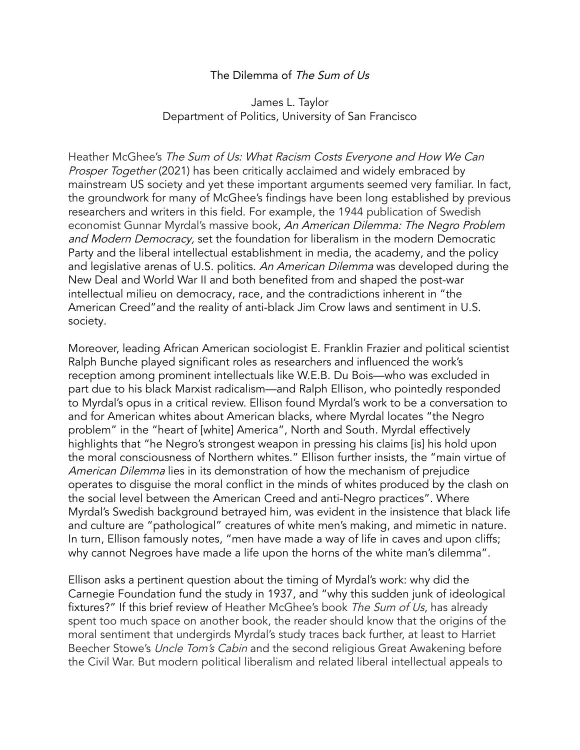## The Dilemma of The Sum of Us

## James L. Taylor Department of Politics, University of San Francisco

Heather McGhee's The Sum of Us: What Racism Costs [Everyone](https://www.amazon.com/Sum-Us-Everyone-Prosper-Together/dp/0525509585/ref=sr_1_1?crid=3LNKFS9DOQCAL&keywords=sum+of+us+by+heather+mcghee&qid=1651779682&sprefix=sum+of+us+%2Caps%2C137&sr=8-1) and How We Can Prosper [Together](https://www.amazon.com/Sum-Us-Everyone-Prosper-Together/dp/0525509585/ref=sr_1_1?crid=3LNKFS9DOQCAL&keywords=sum+of+us+by+heather+mcghee&qid=1651779682&sprefix=sum+of+us+%2Caps%2C137&sr=8-1) (2021) has been critically acclaimed and widely embraced by mainstream US society and yet these important arguments seemed very familiar. In fact, the groundwork for many of McGhee's findings have been long established by previous researchers and writers in this field. For example, the 1944 publication of Swedish economist Gunnar Myrdal's massive book, An American Dilemma: The Negro Problem and Modern Democracy, set the foundation for liberalism in the modern Democratic Party and the liberal intellectual establishment in media, the academy, and the policy and legislative arenas of U.S. politics. An American Dilemma was developed during the New Deal and World War II and both benefited from and shaped the post-war intellectual milieu on democracy, race, and the contradictions inherent in "the American Creed"and the reality of anti-black Jim Crow laws and sentiment in U.S. society.

Moreover, leading African American sociologist E. Franklin Frazier and political scientist Ralph Bunche played significant roles as researchers and influenced the work's reception among prominent intellectuals like W.E.B. Du Bois—who was excluded in part due to his black Marxist radicalism—and Ralph Ellison, who pointedly responded to Myrdal's opus in a critical review. Ellison found Myrdal's work to be a conversation to and for American whites about American blacks, where Myrdal locates "the Negro problem" in the "heart of [white] America", North and South. Myrdal effectively highlights that "he Negro's strongest weapon in pressing his claims [is] his hold upon the moral consciousness of Northern whites." Ellison further insists, the "main virtue of American Dilemma lies in its demonstration of how the mechanism of prejudice operates to disguise the moral conflict in the minds of whites produced by the clash on the social level between the American Creed and anti-Negro practices". Where Myrdal's Swedish background betrayed him, was evident in the insistence that black life and culture are "pathological" creatures of white men's making, and mimetic in nature. In turn, Ellison famously notes, "men have made a way of life in caves and upon cliffs; why cannot Negroes have made a life upon the horns of the white man's dilemma".

Ellison asks a pertinent question about the timing of Myrdal's work: why did the Carnegie Foundation fund the study in 1937, and "why this sudden junk of ideological fixtures?" If this brief review of Heather McGhee's book The Sum of Us, has already spent too much space on another book, the reader should know that the origins of the moral sentiment that undergirds Myrdal's study traces back further, at least to Harriet Beecher Stowe's Uncle Tom's Cabin and the second religious Great Awakening before the Civil War. But modern political liberalism and related liberal intellectual appeals to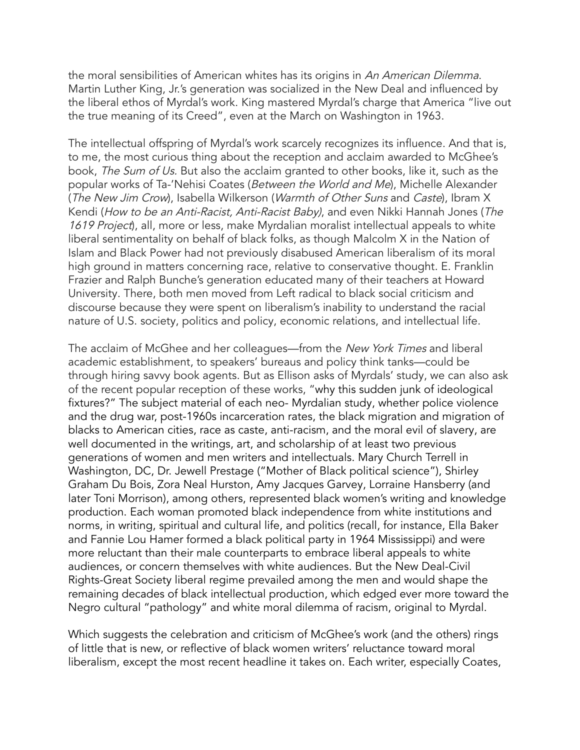the moral sensibilities of American whites has its origins in An American Dilemma. Martin Luther King, Jr.'s generation was socialized in the New Deal and influenced by the liberal ethos of Myrdal's work. King mastered Myrdal's charge that America "live out the true meaning of its Creed", even at the March on Washington in 1963.

The intellectual offspring of Myrdal's work scarcely recognizes its influence. And that is, to me, the most curious thing about the reception and acclaim awarded to McGhee's book, The Sum of Us. But also the acclaim granted to other books, like it, such as the popular works of Ta-'Nehisi Coates (Between the World and Me), Michelle Alexander (The New Jim Crow), Isabella Wilkerson (Warmth of Other Suns and Caste), Ibram X Kendi (How to be an Anti-Racist, Anti-Racist Baby), and even Nikki Hannah Jones (The 1619 Project), all, more or less, make Myrdalian moralist intellectual appeals to white liberal sentimentality on behalf of black folks, as though Malcolm X in the Nation of Islam and Black Power had not previously disabused American liberalism of its moral high ground in matters concerning race, relative to conservative thought. E. Franklin Frazier and Ralph Bunche's generation educated many of their teachers at Howard University. There, both men moved from Left radical to black social criticism and discourse because they were spent on liberalism's inability to understand the racial nature of U.S. society, politics and policy, economic relations, and intellectual life.

The acclaim of McGhee and her colleagues—from the *New York Times* and liberal academic establishment, to speakers' bureaus and policy think tanks—could be through hiring savvy book agents. But as Ellison asks of Myrdals' study, we can also ask of the recent popular reception of these works, "why this sudden junk of ideological fixtures?" The subject material of each neo- Myrdalian study, whether police violence and the drug war, post-1960s incarceration rates, the black migration and migration of blacks to American cities, race as caste, anti-racism, and the moral evil of slavery, are well documented in the writings, art, and scholarship of at least two previous generations of women and men writers and intellectuals. Mary Church Terrell in Washington, DC, Dr. Jewell Prestage ("Mother of Black political science"), Shirley Graham Du Bois, Zora Neal Hurston, Amy Jacques Garvey, Lorraine Hansberry (and later Toni Morrison), among others, represented black women's writing and knowledge production. Each woman promoted black independence from white institutions and norms, in writing, spiritual and cultural life, and politics (recall, for instance, Ella Baker and Fannie Lou Hamer formed a black political party in 1964 Mississippi) and were more reluctant than their male counterparts to embrace liberal appeals to white audiences, or concern themselves with white audiences. But the New Deal-Civil Rights-Great Society liberal regime prevailed among the men and would shape the remaining decades of black intellectual production, which edged ever more toward the Negro cultural "pathology" and white moral dilemma of racism, original to Myrdal.

Which suggests the celebration and criticism of McGhee's work (and the others) rings of little that is new, or reflective of black women writers' reluctance toward moral liberalism, except the most recent headline it takes on. Each writer, especially Coates,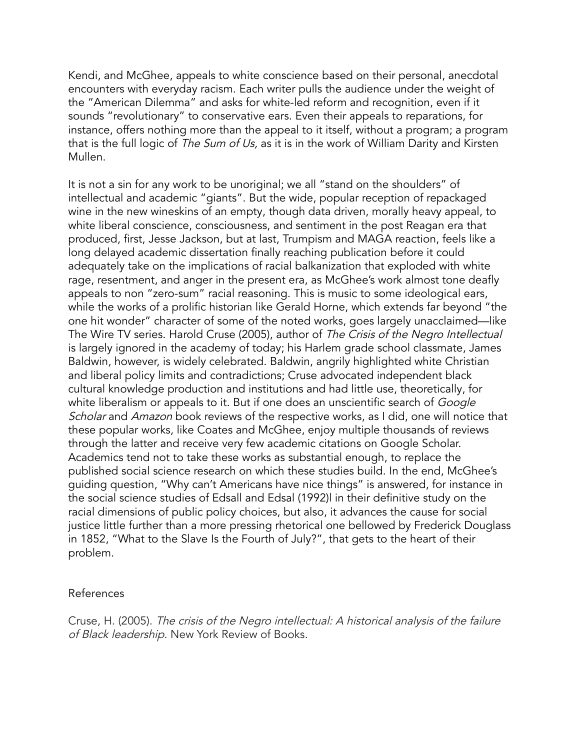Kendi, and McGhee, appeals to white conscience based on their personal, anecdotal encounters with everyday racism. Each writer pulls the audience under the weight of the "American Dilemma" and asks for white-led reform and recognition, even if it sounds "revolutionary" to conservative ears. Even their appeals to reparations, for instance, offers nothing more than the appeal to it itself, without a program; a program that is the full logic of The Sum of Us, as it is in the work of William Darity and Kirsten Mullen.

It is not a sin for any work to be unoriginal; we all "stand on the shoulders" of intellectual and academic "giants". But the wide, popular reception of repackaged wine in the new wineskins of an empty, though data driven, morally heavy appeal, to white liberal conscience, consciousness, and sentiment in the post Reagan era that produced, first, Jesse Jackson, but at last, Trumpism and MAGA reaction, feels like a long delayed academic dissertation finally reaching publication before it could adequately take on the implications of racial balkanization that exploded with white rage, resentment, and anger in the present era, as McGhee's work almost tone deafly appeals to non "zero-sum" racial reasoning. This is music to some ideological ears, while the works of a prolific historian like Gerald Horne, which extends far beyond "the one hit wonder" character of some of the noted works, goes largely unacclaimed—like The Wire TV series. Harold Cruse (2005), author of The Crisis of the Negro Intellectual is largely ignored in the academy of today; his Harlem grade school classmate, James Baldwin, however, is widely celebrated. Baldwin, angrily highlighted white Christian and liberal policy limits and contradictions; Cruse advocated independent black cultural knowledge production and institutions and had little use, theoretically, for white liberalism or appeals to it. But if one does an unscientific search of *Google* Scholar and Amazon book reviews of the respective works, as I did, one will notice that these popular works, like Coates and McGhee, enjoy multiple thousands of reviews through the latter and receive very few academic citations on Google Scholar. Academics tend not to take these works as substantial enough, to replace the published social science research on which these studies build. In the end, McGhee's guiding question, "Why can't Americans have nice things" is answered, for instance in the social science studies of Edsall and Edsal (1992)l in their definitive study on the racial dimensions of public policy choices, but also, it advances the cause for social justice little further than a more pressing rhetorical one bellowed by Frederick Douglass in 1852, "What to the Slave Is the Fourth of July?", that gets to the heart of their problem.

## References

Cruse, H. (2005). The crisis of the Negro intellectual: A historical analysis of the failure of Black leadership. New York Review of Books.